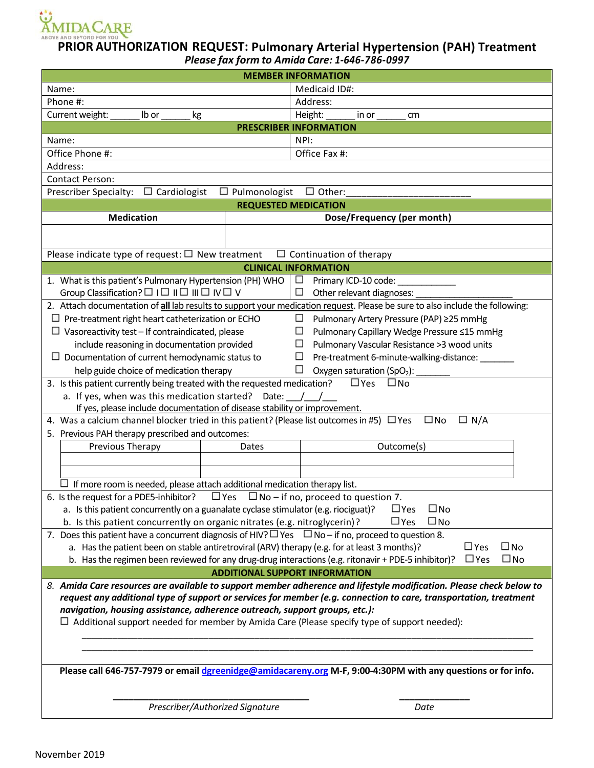

## **PRIOR AUTHORIZATION REQUEST: Pulmonary Arterial Hypertension (PAH) Treatment** *Please fax form to Amida Care: 1-646-786-0997*

| <b>MEMBER INFORMATION</b>                                                                                                     |                                                                                                                   |
|-------------------------------------------------------------------------------------------------------------------------------|-------------------------------------------------------------------------------------------------------------------|
| Name:                                                                                                                         | Medicaid ID#:                                                                                                     |
| Phone #:                                                                                                                      | Address:                                                                                                          |
| Current weight:<br>Ib or<br>kg                                                                                                | Height:<br>in or<br>cm                                                                                            |
| <b>PRESCRIBER INFORMATION</b>                                                                                                 |                                                                                                                   |
| Name:                                                                                                                         | NPI:                                                                                                              |
| Office Phone #:                                                                                                               | Office Fax #:                                                                                                     |
| Address:                                                                                                                      |                                                                                                                   |
| Contact Person:                                                                                                               |                                                                                                                   |
| $\Box$ Cardiologist<br>$\Box$ Pulmonologist<br>Prescriber Specialty:                                                          | $\square$ Other:                                                                                                  |
| <b>REQUESTED MEDICATION</b>                                                                                                   |                                                                                                                   |
| <b>Medication</b>                                                                                                             | Dose/Frequency (per month)                                                                                        |
|                                                                                                                               |                                                                                                                   |
|                                                                                                                               |                                                                                                                   |
| Please indicate type of request: $\Box$ New treatment                                                                         | $\Box$ Continuation of therapy                                                                                    |
| <b>CLINICAL INFORMATION</b>                                                                                                   |                                                                                                                   |
| 1. What is this patient's Pulmonary Hypertension (PH) WHO                                                                     | Primary ICD-10 code:<br>$\sim$                                                                                    |
| Group Classification? $\square \square \square \square \square \square \square \square \vee \square \vee \square$             | $\sim$<br>Other relevant diagnoses:                                                                               |
| 2. Attach documentation of all lab results to support your medication request. Please be sure to also include the following:  |                                                                                                                   |
| $\Box$ Pre-treatment right heart catheterization or ECHO<br>Pulmonary Artery Pressure (PAP) ≥25 mmHg<br>$\sim 10$             |                                                                                                                   |
| $\Box$ Vasoreactivity test – If contraindicated, please<br>Pulmonary Capillary Wedge Pressure ≤15 mmHg<br>ш                   |                                                                                                                   |
| include reasoning in documentation provided<br>$\Box$<br>Pulmonary Vascular Resistance >3 wood units                          |                                                                                                                   |
| $\Box$ Documentation of current hemodynamic status to<br>Pre-treatment 6-minute-walking-distance:<br>$\sim$                   |                                                                                                                   |
| help guide choice of medication therapy<br>$\mathcal{L}_{\mathcal{A}}$<br>Oxygen saturation (SpO <sub>2</sub> ):              |                                                                                                                   |
| 3. Is this patient currently being treated with the requested medication?<br>$\square$ Yes<br>□No                             |                                                                                                                   |
| a. If yes, when was this medication started? Date: $/$ /                                                                      |                                                                                                                   |
| If yes, please include documentation of disease stability or improvement.                                                     |                                                                                                                   |
| 4. Was a calcium channel blocker tried in this patient? (Please list outcomes in #5) $\Box$ Yes<br>$\square$ No<br>$\Box$ N/A |                                                                                                                   |
| 5. Previous PAH therapy prescribed and outcomes:                                                                              |                                                                                                                   |
| Previous Therapy<br>Dates                                                                                                     | Outcome(s)                                                                                                        |
|                                                                                                                               |                                                                                                                   |
|                                                                                                                               |                                                                                                                   |
| $\Box$ If more room is needed, please attach additional medication therapy list.                                              |                                                                                                                   |
| 6. Is the request for a PDE5-inhibitor?<br>$\Box$ Yes $\Box$ No – if no, proceed to question 7.                               |                                                                                                                   |
| $\square$ No<br>a. Is this patient concurrently on a guanalate cyclase stimulator (e.g. riociguat)?<br>$\square$ Yes          |                                                                                                                   |
| b. Is this patient concurrently on organic nitrates (e.g. nitroglycerin)?                                                     | $\square$ Yes<br>$\square$ No                                                                                     |
| 7. Does this patient have a concurrent diagnosis of HIV? $\Box$ Yes $\Box$ No – if no, proceed to question 8.                 |                                                                                                                   |
| a. Has the patient been on stable antiretroviral (ARV) therapy (e.g. for at least 3 months)?<br>$\square$ Yes<br>$\square$ No |                                                                                                                   |
| b. Has the regimen been reviewed for any drug-drug interactions (e.g. ritonavir + PDE-5 inhibitor)?                           | $\square$ No<br>$\square$ Yes                                                                                     |
| <b>ADDITIONAL SUPPORT INFORMATION</b>                                                                                         |                                                                                                                   |
| 8. Amida Care resources are available to support member adherence and lifestyle modification. Please check below to           |                                                                                                                   |
|                                                                                                                               | request any additional type of support or services for member (e.g. connection to care, transportation, treatment |
| navigation, housing assistance, adherence outreach, support groups, etc.):                                                    |                                                                                                                   |
| $\Box$ Additional support needed for member by Amida Care (Please specify type of support needed):                            |                                                                                                                   |
|                                                                                                                               |                                                                                                                   |
|                                                                                                                               |                                                                                                                   |
|                                                                                                                               |                                                                                                                   |
| Please call 646-757-7979 or email dgreenidge@amidacareny.org M-F, 9:00-4:30PM with any questions or for info.                 |                                                                                                                   |
|                                                                                                                               |                                                                                                                   |
|                                                                                                                               |                                                                                                                   |
| Prescriber/Authorized Signature                                                                                               | Date                                                                                                              |